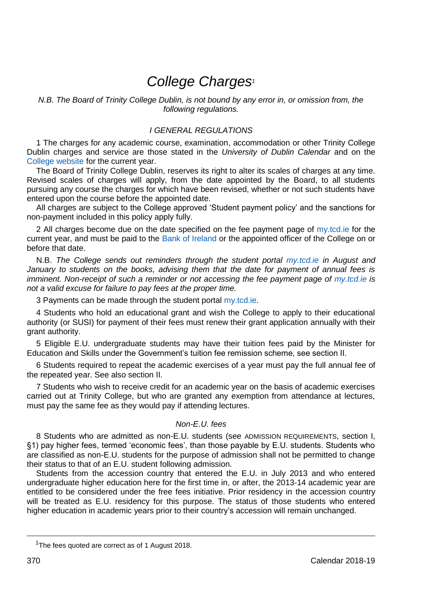# *College Charges<sup>1</sup>*

*N.B. The Board of Trinity College Dublin, is not bound by any error in, or omission from, the following regulations.*

# *I GENERAL REGULATIONS*

1 The charges for any academic course, examination, accommodation or other Trinity College Dublin charges and service are those stated in the *University of Dublin Calendar* and on the [College website](http://www.tcd.ie/academicregistry/fees-and-payments/) for the current year.

The Board of Trinity College Dublin, reserves its right to alter its scales of charges at any time. Revised scales of charges will apply, from the date appointed by the Board, to all students pursuing any course the charges for which have been revised, whether or not such students have entered upon the course before the appointed date.

All charges are subject to the College approved 'Student payment policy' and the sanctions for non-payment included in this policy apply fully.

2 All charges become due on the date specified on the fee payment page of  $my.tcd.$  ie for the current year, and must be paid to the [Bank of Ireland](https://www.bankofireland.com/) or the appointed officer of the College on or before that date.

N.B. *The College sends out reminders through the student portal [my.tcd.ie](https://my.tcd.ie/urd/sits.urd/run/siw_lgn) in August and January to students on the books, advising them that the date for payment of annual fees is imminent. Non-receipt of such a reminder or not accessing the fee payment page of [my.tcd.ie](https://my.tcd.ie/urd/sits.urd/run/siw_lgn) is not a valid excuse for failure to pay fees at the proper time.*

3 Payments can be made through the student porta[l my.tcd.ie.](https://my.tcd.ie/urd/sits.urd/run/siw_lgn)

4 Students who hold an educational grant and wish the College to apply to their educational authority (or SUSI) for payment of their fees must renew their grant application annually with their grant authority.

5 Eligible E.U. undergraduate students may have their tuition fees paid by the Minister for Education and Skills under the Government's tuition fee remission scheme, see section II.

6 Students required to repeat the academic exercises of a year must pay the full annual fee of the repeated year. See also section II.

7 Students who wish to receive credit for an academic year on the basis of academic exercises carried out at Trinity College, but who are granted any exemption from attendance at lectures, must pay the same fee as they would pay if attending lectures.

# *Non-E.U. fees*

8 Students who are admitted as non-E.U. students (see ADMISSION REQUIREMENTS, section I, §1) pay higher fees, termed 'economic fees', than those payable by E.U. students. Students who are classified as non-E.U. students for the purpose of admission shall not be permitted to change their status to that of an E.U. student following admission.

Students from the accession country that entered the E.U. in July 2013 and who entered undergraduate higher education here for the first time in, or after, the 2013-14 academic year are entitled to be considered under the free fees initiative. Prior residency in the accession country will be treated as E.U. residency for this purpose. The status of those students who entered higher education in academic years prior to their country's accession will remain unchanged.

<sup>&</sup>lt;sup>1</sup>The fees quoted are correct as of 1 August 2018.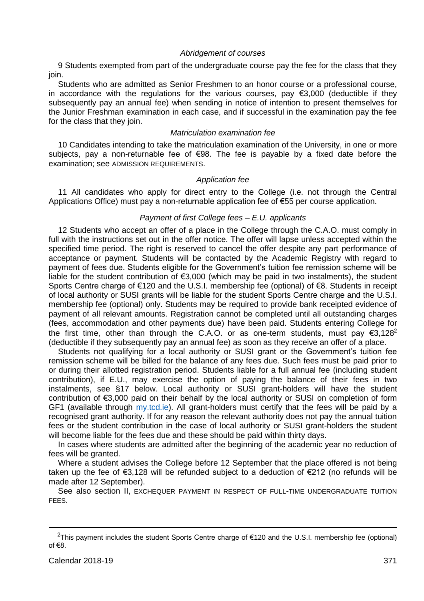# *Abridgement of courses*

9 Students exempted from part of the undergraduate course pay the fee for the class that they join.

Students who are admitted as Senior Freshmen to an honor course or a professional course, in accordance with the regulations for the various courses, pay  $\epsilon$ 3,000 (deductible if they subsequently pay an annual fee) when sending in notice of intention to present themselves for the Junior Freshman examination in each case, and if successful in the examination pay the fee for the class that they join.

# *Matriculation examination fee*

10 Candidates intending to take the matriculation examination of the University, in one or more subjects, pay a non-returnable fee of  $\epsilon$ 98. The fee is payable by a fixed date before the examination; see ADMISSION REQUIREMENTS.

#### *Application fee*

11 All candidates who apply for direct entry to the College (i.e. not through the Central Applications Office) must pay a non-returnable application fee of €55 per course application.

# *Payment of first College fees – E.U. applicants*

12 Students who accept an offer of a place in the College through the C.A.O. must comply in full with the instructions set out in the offer notice. The offer will lapse unless accepted within the specified time period. The right is reserved to cancel the offer despite any part performance of acceptance or payment. Students will be contacted by the Academic Registry with regard to payment of fees due. Students eligible for the Government's tuition fee remission scheme will be liable for the student contribution of €3,000 (which may be paid in two instalments), the student Sports Centre charge of €120 and the U.S.I. membership fee (optional) of €8. Students in receipt of local authority or SUSI grants will be liable for the student Sports Centre charge and the U.S.I. membership fee (optional) only. Students may be required to provide bank receipted evidence of payment of all relevant amounts. Registration cannot be completed until all outstanding charges (fees, accommodation and other payments due) have been paid. Students entering College for the first time, other than through the C.A.O. or as one-term students, must pay  $\epsilon$ 3,128<sup>2</sup> (deductible if they subsequently pay an annual fee) as soon as they receive an offer of a place.

Students not qualifying for a local authority or SUSI grant or the Government's tuition fee remission scheme will be billed for the balance of any fees due. Such fees must be paid prior to or during their allotted registration period. Students liable for a full annual fee (including student contribution), if E.U., may exercise the option of paying the balance of their fees in two instalments, see §17 below. Local authority or SUSI grant-holders will have the student contribution of €3,000 paid on their behalf by the local authority or SUSI on completion of form GF1 (available through [my.tcd.ie\)](https://my.tcd.ie/urd/sits.urd/run/siw_lgn). All grant-holders must certify that the fees will be paid by a recognised grant authority. If for any reason the relevant authority does not pay the annual tuition fees or the student contribution in the case of local authority or SUSI grant-holders the student will become liable for the fees due and these should be paid within thirty days.

In cases where students are admitted after the beginning of the academic year no reduction of fees will be granted.

Where a student advises the College before 12 September that the place offered is not being taken up the fee of €3,128 will be refunded subject to a deduction of €212 (no refunds will be made after 12 September).

See also section II, EXCHEQUER PAYMENT IN RESPECT OF FULL-TIME UNDERGRADUATE TUITION FEES.

-

<sup>2</sup>This payment includes the student Sports Centre charge of €120 and the U.S.I. membership fee (optional) of €8.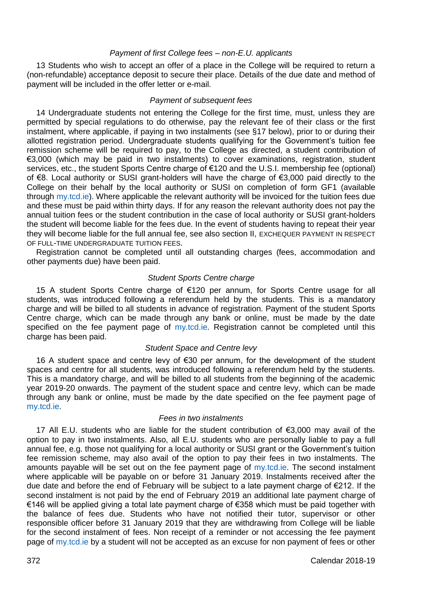#### *Payment of first College fees – non-E.U. applicants*

13 Students who wish to accept an offer of a place in the College will be required to return a (non-refundable) acceptance deposit to secure their place. Details of the due date and method of payment will be included in the offer letter or e-mail.

# *Payment of subsequent fees*

14 Undergraduate students not entering the College for the first time, must, unless they are permitted by special regulations to do otherwise, pay the relevant fee of their class or the first instalment, where applicable, if paying in two instalments (see §17 below), prior to or during their allotted registration period. Undergraduate students qualifying for the Government's tuition fee remission scheme will be required to pay, to the College as directed, a student contribution of €3,000 (which may be paid in two instalments) to cover examinations, registration, student services, etc., the student Sports Centre charge of €120 and the U.S.I. membership fee (optional) of €8. Local authority or SUSI grant-holders will have the charge of €3,000 paid directly to the College on their behalf by the local authority or SUSI on completion of form GF1 (available through [my.tcd.ie\)](https://my.tcd.ie/urd/sits.urd/run/siw_lgn). Where applicable the relevant authority will be invoiced for the tuition fees due and these must be paid within thirty days. If for any reason the relevant authority does not pay the annual tuition fees or the student contribution in the case of local authority or SUSI grant-holders the student will become liable for the fees due. In the event of students having to repeat their year they will become liable for the full annual fee, see also section II, EXCHEQUER PAYMENT IN RESPECT OF FULL-TIME UNDERGRADUATE TUITION FEES.

Registration cannot be completed until all outstanding charges (fees, accommodation and other payments due) have been paid.

# *Student Sports Centre charge*

15 A student Sports Centre charge of €120 per annum, for Sports Centre usage for all students, was introduced following a referendum held by the students. This is a mandatory charge and will be billed to all students in advance of registration. Payment of the student Sports Centre charge, which can be made through any bank or online, must be made by the date specified on the fee payment page of [my.tcd.ie.](https://my.tcd.ie/urd/sits.urd/run/siw_lgn) Registration cannot be completed until this charge has been paid.

# *Student Space and Centre levy*

16 A student space and centre levy of €30 per annum, for the development of the student spaces and centre for all students, was introduced following a referendum held by the students. This is a mandatory charge, and will be billed to all students from the beginning of the academic year 2019-20 onwards. The payment of the student space and centre levy, which can be made through any bank or online, must be made by the date specified on the fee payment page of [my.tcd.ie.](https://my.tcd.ie/urd/sits.urd/run/siw_lgn)

# *Fees in two instalments*

17 All E.U. students who are liable for the student contribution of €3,000 may avail of the option to pay in two instalments. Also, all E.U. students who are personally liable to pay a full annual fee, e.g. those not qualifying for a local authority or SUSI grant or the Government's tuition fee remission scheme, may also avail of the option to pay their fees in two instalments. The amounts payable will be set out on the fee payment page of [my.tcd.ie.](https://my.tcd.ie/urd/sits.urd/run/siw_lgn) The second instalment where applicable will be payable on or before 31 January 2019. Instalments received after the due date and before the end of February will be subject to a late payment charge of €212. If the second instalment is not paid by the end of February 2019 an additional late payment charge of €146 will be applied giving a total late payment charge of €358 which must be paid together with the balance of fees due. Students who have not notified their tutor, supervisor or other responsible officer before 31 January 2019 that they are withdrawing from College will be liable for the second instalment of fees. Non receipt of a reminder or not accessing the fee payment page o[f my.tcd.ie](https://my.tcd.ie/urd/sits.urd/run/siw_lgn) by a student will not be accepted as an excuse for non payment of fees or other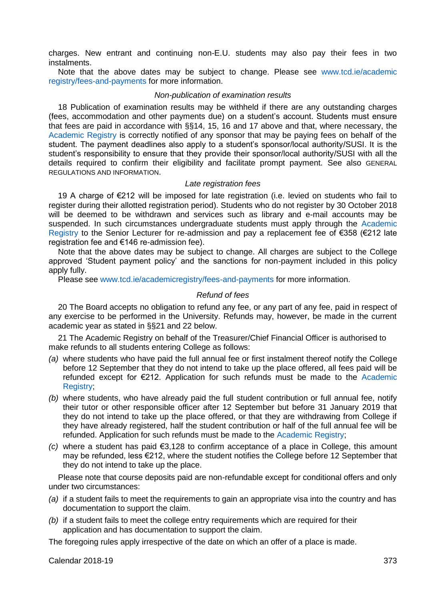charges. New entrant and continuing non-E.U. students may also pay their fees in two instalments.

Note that the above dates may be subject to change. Please see [www.tcd.ie/academic](http://www.tcd.ie/academic%20registry/fees-and-payments/)  [registry/fees-and-payments](http://www.tcd.ie/academic%20registry/fees-and-payments/) for more information.

#### *Non-publication of examination results*

18 Publication of examination results may be withheld if there are any outstanding charges (fees, accommodation and other payments due) on a student's account. Students must ensure that fees are paid in accordance with §§14, 15, 16 and 17 above and that, where necessary, the [Academic Registry](https://www.tcd.ie/academicregistry/) is correctly notified of any sponsor that may be paying fees on behalf of the student. The payment deadlines also apply to a student's sponsor/local authority/SUSI. It is the student's responsibility to ensure that they provide their sponsor/local authority/SUSI with all the details required to confirm their eligibility and facilitate prompt payment. See also GENERAL REGULATIONS AND INFORMATION.

#### *Late registration fees*

19 A charge of €212 will be imposed for late registration (i.e. levied on students who fail to register during their allotted registration period). Students who do not register by 30 October 2018 will be deemed to be withdrawn and services such as library and e-mail accounts may be suspended. In such circumstances undergraduate students must apply through the Academic [Registry](https://www.tcd.ie/academicregistry/) to the Senior Lecturer for re-admission and pay a replacement fee of €358 (€212 late registration fee and €146 re-admission fee).

Note that the above dates may be subject to change. All charges are subject to the College approved 'Student payment policy' and the sanctions for non-payment included in this policy apply fully.

Please se[e www.tcd.ie/academicregistry/fees-and-payments](http://www.tcd.ie/academicregistry/fees-and-payments/) for more information.

#### *Refund of fees*

20 The Board accepts no obligation to refund any fee, or any part of any fee, paid in respect of any exercise to be performed in the University. Refunds may, however, be made in the current academic year as stated in §§21 and 22 below.

21 The Academic Registry on behalf of the Treasurer/Chief Financial Officer is authorised to make refunds to all students entering College as follows:

- *(a)* where students who have paid the full annual fee or first instalment thereof notify the College before 12 September that they do not intend to take up the place offered, all fees paid will be refunded except for €212. Application for such refunds must be made to the [Academic](https://www.tcd.ie/academicregistry/)  Registry:
- *(b)* where students, who have already paid the full student contribution or full annual fee, notify their tutor or other responsible officer after 12 September but before 31 January 2019 that they do not intend to take up the place offered, or that they are withdrawing from College if they have already registered, half the student contribution or half of the full annual fee will be refunded. Application for such refunds must be made to th[e Academic Registry;](https://www.tcd.ie/academicregistry/)
- *(c)* where a student has paid €3,128 to confirm acceptance of a place in College, this amount may be refunded, less €212, where the student notifies the College before 12 September that they do not intend to take up the place.

Please note that course deposits paid are non-refundable except for conditional offers and only under two circumstances:

- *(a)* if a student fails to meet the requirements to gain an appropriate visa into the country and has documentation to support the claim.
- *(b)* if a student fails to meet the college entry requirements which are required for their application and has documentation to support the claim.

The foregoing rules apply irrespective of the date on which an offer of a place is made.

Calendar 2018-19 373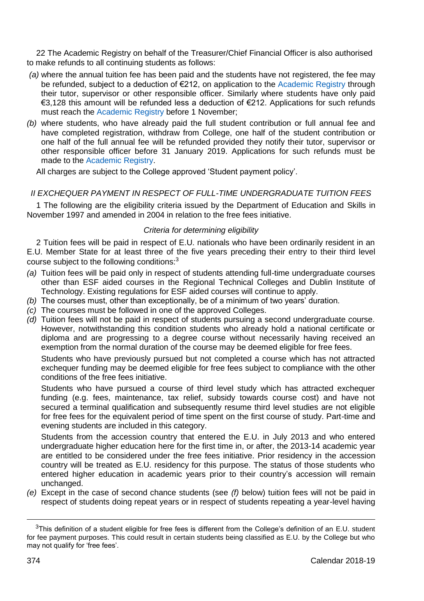22 The Academic Registry on behalf of the Treasurer/Chief Financial Officer is also authorised to make refunds to all continuing students as follows:

- *(a)* where the annual tuition fee has been paid and the students have not registered, the fee may be refunded, subject to a deduction of €212, on application to the [Academic Registry](https://www.tcd.ie/academicregistry/) through their tutor, supervisor or other responsible officer. Similarly where students have only paid €3,128 this amount will be refunded less a deduction of €212. Applications for such refunds must reach the [Academic Registry](https://www.tcd.ie/academicregistry/) before 1 November:
- *(b)* where students, who have already paid the full student contribution or full annual fee and have completed registration, withdraw from College, one half of the student contribution or one half of the full annual fee will be refunded provided they notify their tutor, supervisor or other responsible officer before 31 January 2019. Applications for such refunds must be made to th[e Academic Registry.](https://www.tcd.ie/academicregistry/)

All charges are subject to the College approved 'Student payment policy'.

# *II EXCHEQUER PAYMENT IN RESPECT OF FULL-TIME UNDERGRADUATE TUITION FEES*

1 The following are the eligibility criteria issued by the Department of Education and Skills in November 1997 and amended in 2004 in relation to the free fees initiative.

# *Criteria for determining eligibility*

2 Tuition fees will be paid in respect of E.U. nationals who have been ordinarily resident in an E.U. Member State for at least three of the five years preceding their entry to their third level course subject to the following conditions: $3$ 

- *(a)* Tuition fees will be paid only in respect of students attending full-time undergraduate courses other than ESF aided courses in the Regional Technical Colleges and Dublin Institute of Technology. Existing regulations for ESF aided courses will continue to apply.
- *(b)* The courses must, other than exceptionally, be of a minimum of two years' duration.
- *(c)* The courses must be followed in one of the approved Colleges.
- *(d)* Tuition fees will not be paid in respect of students pursuing a second undergraduate course. However, notwithstanding this condition students who already hold a national certificate or diploma and are progressing to a degree course without necessarily having received an exemption from the normal duration of the course may be deemed eligible for free fees.

Students who have previously pursued but not completed a course which has not attracted exchequer funding may be deemed eligible for free fees subject to compliance with the other conditions of the free fees initiative.

Students who have pursued a course of third level study which has attracted exchequer funding (e.g. fees, maintenance, tax relief, subsidy towards course cost) and have not secured a terminal qualification and subsequently resume third level studies are not eligible for free fees for the equivalent period of time spent on the first course of study. Part-time and evening students are included in this category.

Students from the accession country that entered the E.U. in July 2013 and who entered undergraduate higher education here for the first time in, or after, the 2013-14 academic year are entitled to be considered under the free fees initiative. Prior residency in the accession country will be treated as E.U. residency for this purpose. The status of those students who entered higher education in academic years prior to their country's accession will remain unchanged.

*(e)* Except in the case of second chance students (see *(f)* below) tuition fees will not be paid in respect of students doing repeat years or in respect of students repeating a year-level having

 $3$ This definition of a student eligible for free fees is different from the College's definition of an E.U. student for fee payment purposes. This could result in certain students being classified as E.U. by the College but who may not qualify for 'free fees'.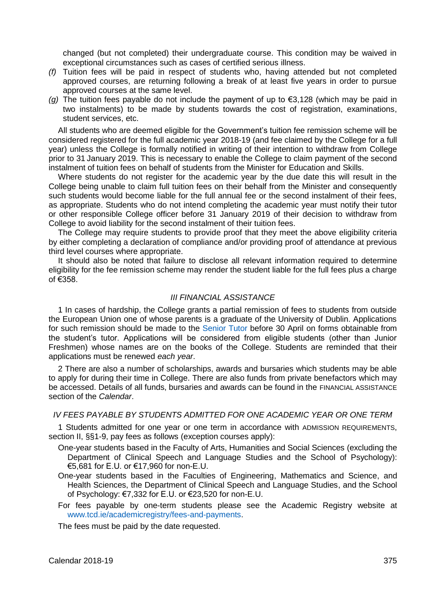changed (but not completed) their undergraduate course. This condition may be waived in exceptional circumstances such as cases of certified serious illness.

- *(f)* Tuition fees will be paid in respect of students who, having attended but not completed approved courses, are returning following a break of at least five years in order to pursue approved courses at the same level.
- *(g)* The tuition fees payable do not include the payment of up to €3,128 (which may be paid in two instalments) to be made by students towards the cost of registration, examinations, student services, etc.

All students who are deemed eligible for the Government's tuition fee remission scheme will be considered registered for the full academic year 2018-19 (and fee claimed by the College for a full year) unless the College is formally notified in writing of their intention to withdraw from College prior to 31 January 2019. This is necessary to enable the College to claim payment of the second instalment of tuition fees on behalf of students from the Minister for Education and Skills.

Where students do not register for the academic year by the due date this will result in the College being unable to claim full tuition fees on their behalf from the Minister and consequently such students would become liable for the full annual fee or the second instalment of their fees, as appropriate. Students who do not intend completing the academic year must notify their tutor or other responsible College officer before 31 January 2019 of their decision to withdraw from College to avoid liability for the second instalment of their tuition fees.

The College may require students to provide proof that they meet the above eligibility criteria by either completing a declaration of compliance and/or providing proof of attendance at previous third level courses where appropriate.

It should also be noted that failure to disclose all relevant information required to determine eligibility for the fee remission scheme may render the student liable for the full fees plus a charge of €358.

# *III FINANCIAL ASSISTANCE*

1 In cases of hardship, the College grants a partial remission of fees to students from outside the European Union one of whose parents is a graduate of the University of Dublin. Applications for such remission should be made to the [Senior Tutor](https://www.tcd.ie/Senior_Tutor/) before 30 April on forms obtainable from the student's tutor. Applications will be considered from eligible students (other than Junior Freshmen) whose names are on the books of the College. Students are reminded that their applications must be renewed *each year*.

2 There are also a number of scholarships, awards and bursaries which students may be able to apply for during their time in College. There are also funds from private benefactors which may be accessed. Details of all funds, bursaries and awards can be found in the FINANCIAL ASSISTANCE section of the *Calendar*.

# *IV FEES PAYABLE BY STUDENTS ADMITTED FOR ONE ACADEMIC YEAR OR ONE TERM*

1 Students admitted for one year or one term in accordance with ADMISSION REQUIREMENTS, section II, \$§1-9, pay fees as follows (exception courses apply):

- One-year students based in the Faculty of Arts, Humanities and Social Sciences (excluding the Department of Clinical Speech and Language Studies and the School of Psychology): €5,681 for E.U. or €17,960 for non-E.U.
- One-year students based in the Faculties of Engineering, Mathematics and Science, and Health Sciences, the Department of Clinical Speech and Language Studies, and the School of Psychology: €7,332 for E.U. or €23,520 for non-E.U.
- For fees payable by one-term students please see the Academic Registry website at [www.tcd.ie/academicregistry/fees-and-payments.](http://www.tcd.ie/academicregistry/fees-and-payments)

The fees must be paid by the date requested.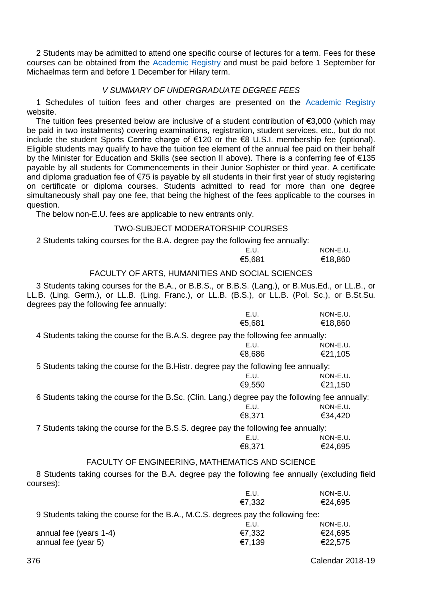2 Students may be admitted to attend one specific course of lectures for a term. Fees for these courses can be obtained from the [Academic Registry](https://www.tcd.ie/academicregistry/) and must be paid before 1 September for Michaelmas term and before 1 December for Hilary term.

# *V SUMMARY OF UNDERGRADUATE DEGREE FEES*

1 Schedules of tuition fees and other charges are presented on the [Academic Registry](http://www.tcd.ie/academicregistry/fees-and-payments/) website.

The tuition fees presented below are inclusive of a student contribution of €3,000 (which may be paid in two instalments) covering examinations, registration, student services, etc., but do not include the student Sports Centre charge of €120 or the €8 U.S.I. membership fee (optional). Eligible students may qualify to have the tuition fee element of the annual fee paid on their behalf by the Minister for Education and Skills (see section II above). There is a conferring fee of €135 payable by all students for Commencements in their Junior Sophister or third year. A certificate and diploma graduation fee of €75 is payable by all students in their first year of study registering on certificate or diploma courses. Students admitted to read for more than one degree simultaneously shall pay one fee, that being the highest of the fees applicable to the courses in question.

The below non-E.U. fees are applicable to new entrants only.

# TWO-SUBJECT MODERATORSHIP COURSES

2 Students taking courses for the B.A. degree pay the following fee annually:

| E.U.   | NON-E.U. |
|--------|----------|
| €5.681 | €18,860  |

# FACULTY OF ARTS, HUMANITIES AND SOCIAL SCIENCES

3 Students taking courses for the B.A., or B.B.S., or B.B.S. (Lang.), or B.Mus.Ed., or LL.B., or LL.B. (Ling. Germ.), or LL.B. (Ling. Franc.), or LL.B. (B.S.), or LL.B. (Pol. Sc.), or B.St.Su. degrees pay the following fee annually:

|                                                                                                            | E.U.   | NON-E.U. |
|------------------------------------------------------------------------------------------------------------|--------|----------|
|                                                                                                            | €5.681 | €18,860  |
| 4 Students taking the course for the B.A.S. degree pay the following fee annually:                         |        |          |
|                                                                                                            | E.U.   | NON-E.U. |
|                                                                                                            | €8,686 | €21,105  |
| 5 Students taking the course for the B.Histr. degree pay the following fee annually:                       |        |          |
|                                                                                                            | E.U.   | NON-E.U. |
|                                                                                                            | €9,550 | €21,150  |
| 6 Students taking the course for the B.Sc. (Clin. Lang.) degree pay the following fee annually:            |        |          |
|                                                                                                            | E.U.   | NON-E.U. |
|                                                                                                            | €8,371 | €34,420  |
| 7 Students taking the course for the B.S.S. degree pay the following fee annually:                         |        |          |
|                                                                                                            | E.U.   | NON-E.U. |
|                                                                                                            | €8,371 | €24,695  |
| FACULTY OF ENGINEERING, MATHEMATICS AND SCIENCE                                                            |        |          |
| 8 Students taking courses for the B.A. degree pay the following fee annually (excluding field<br>courses): |        |          |
|                                                                                                            | E.U.   | NON-E.U. |
|                                                                                                            | €7,332 | €24,695  |
| 9 Students taking the course for the B.A., M.C.S. degrees pay the following fee:                           |        |          |

|                        | E.U.   | NON-E.U. |
|------------------------|--------|----------|
| annual fee (years 1-4) | €7.332 | €24.695  |
| annual fee (year 5)    | €7.139 | €22.575  |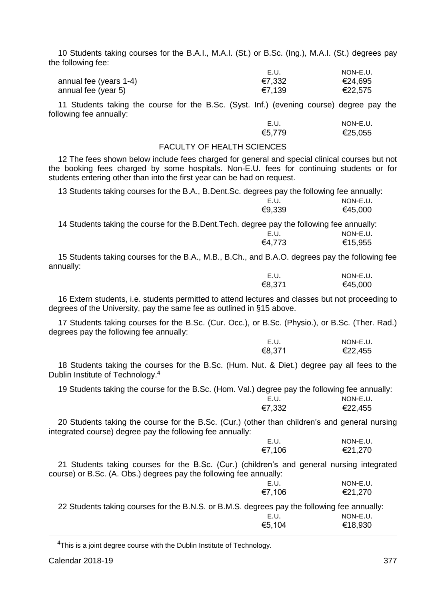10 Students taking courses for the B.A.I., M.A.I. (St.) or B.Sc. (Ing.), M.A.I. (St.) degrees pay the following fee:

|                        | E.U.   | NON-E.U. |
|------------------------|--------|----------|
| annual fee (years 1-4) | €7.332 | €24.695  |
| annual fee (year 5)    | €7.139 | €22.575  |

11 Students taking the course for the B.Sc. (Syst. Inf.) (evening course) degree pay the following fee annually:

| E.U.   | NON-E.U. |
|--------|----------|
| €5,779 | €25,055  |

# FACULTY OF HEALTH SCIENCES

12 The fees shown below include fees charged for general and special clinical courses but not the booking fees charged by some hospitals. Non-E.U. fees for continuing students or for students entering other than into the first year can be had on request.

13 Students taking courses for the B.A., B.Dent.Sc. degrees pay the following fee annually:

|                                                                                           | E.U.   | NON-E.U. |
|-------------------------------------------------------------------------------------------|--------|----------|
|                                                                                           | €9.339 | €45.000  |
| 14 Students taking the course for the B.Dent.Tech. degree pay the following fee annually: |        |          |
|                                                                                           | E.U.   | NON-E.U. |
|                                                                                           | €4.773 | €15.955  |
|                                                                                           |        |          |

15 Students taking courses for the B.A., M.B., B.Ch., and B.A.O. degrees pay the following fee annually:

| E.U.   | NON-E.U. |
|--------|----------|
| €8,371 | €45,000  |

16 Extern students, i.e. students permitted to attend lectures and classes but not proceeding to degrees of the University, pay the same fee as outlined in §15 above.

17 Students taking courses for the B.Sc. (Cur. Occ.), or B.Sc. (Physio.), or B.Sc. (Ther. Rad.) degrees pay the following fee annually:

| E.U.   | NON-E.U. |
|--------|----------|
| €8,371 | €22,455  |

18 Students taking the courses for the B.Sc. (Hum. Nut. & Diet.) degree pay all fees to the Dublin Institute of Technology.<sup>4</sup>

19 Students taking the course for the B.Sc. (Hom. Val.) degree pay the following fee annually: E.U. NON-E.U.<br>€7.332 €22.455 €22,455

20 Students taking the course for the B.Sc. (Cur.) (other than children's and general nursing integrated course) degree pay the following fee annually:

| E.U.   | NON-E.U. |
|--------|----------|
| €7,106 | €21,270  |

21 Students taking courses for the B.Sc. (Cur.) (children's and general nursing integrated course) or B.Sc. (A. Obs.) degrees pay the following fee annually: E.U. NON-E.U.<br>€7.106 €21.270 €7,106 €21,270

22 Students taking courses for the B.N.S. or B.M.S. degrees pay the following fee annually:<br>F.U. NON-F.U. E.U. NON-E.U. €5,104 €18,930

<sup>4</sup>This is a joint degree course with the Dublin Institute of Technology.